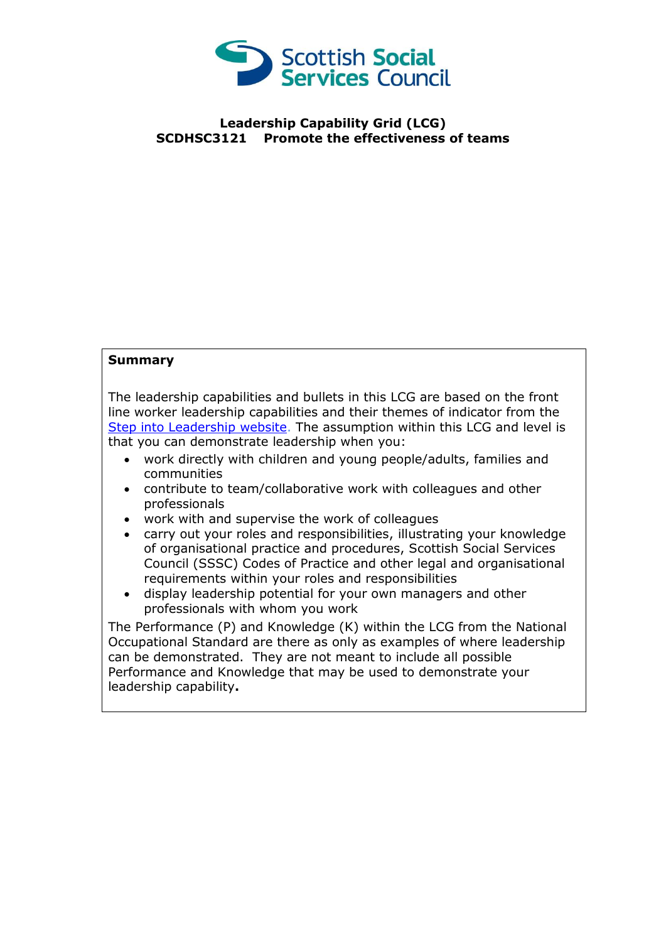

## **Leadership Capability Grid (LCG) SCDHSC3121 Promote the effectiveness of teams**

## **Summary**

The leadership capabilities and bullets in this LCG are based on the front line worker leadership capabilities and their themes of indicator from the [Step into Leadership website.](http://www.stepintoleadership.info/) The assumption within this LCG and level is that you can demonstrate leadership when you:

- work directly with children and young people/adults, families and communities
- contribute to team/collaborative work with colleagues and other professionals
- work with and supervise the work of colleagues
- carry out your roles and responsibilities, illustrating your knowledge of organisational practice and procedures, Scottish Social Services Council (SSSC) Codes of Practice and other legal and organisational requirements within your roles and responsibilities
- display leadership potential for your own managers and other professionals with whom you work

The Performance (P) and Knowledge (K) within the LCG from the National Occupational Standard are there as only as examples of where leadership can be demonstrated. They are not meant to include all possible Performance and Knowledge that may be used to demonstrate your leadership capability**.**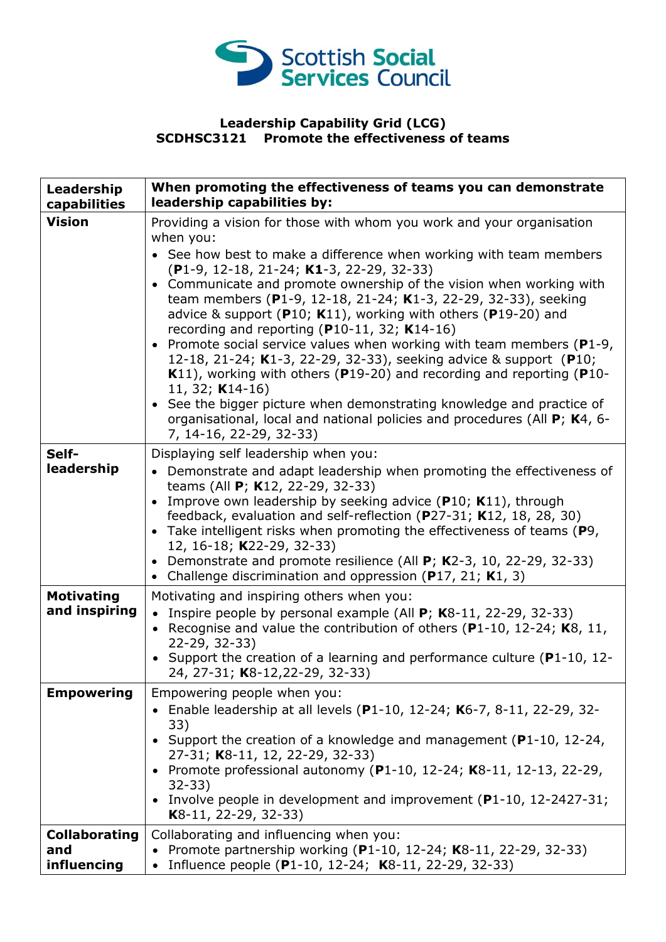

## **Leadership Capability Grid (LCG) SCDHSC3121 Promote the effectiveness of teams**

| Leadership<br>capabilities                 | When promoting the effectiveness of teams you can demonstrate<br>leadership capabilities by:                                                                                                                                                                                                                                                                                                                                                                                                                                                                                                     |
|--------------------------------------------|--------------------------------------------------------------------------------------------------------------------------------------------------------------------------------------------------------------------------------------------------------------------------------------------------------------------------------------------------------------------------------------------------------------------------------------------------------------------------------------------------------------------------------------------------------------------------------------------------|
| <b>Vision</b>                              | Providing a vision for those with whom you work and your organisation<br>when you:                                                                                                                                                                                                                                                                                                                                                                                                                                                                                                               |
|                                            | • See how best to make a difference when working with team members<br>(P1-9, 12-18, 21-24; K1-3, 22-29, 32-33)                                                                                                                                                                                                                                                                                                                                                                                                                                                                                   |
|                                            | • Communicate and promote ownership of the vision when working with<br>team members (P1-9, 12-18, 21-24; K1-3, 22-29, 32-33), seeking<br>advice & support ( $P10$ ; K11), working with others ( $P19-20$ ) and<br>recording and reporting ( $P10-11$ , 32; K14-16)<br>• Promote social service values when working with team members ( $P1-9$ ,<br>12-18, 21-24; K1-3, 22-29, 32-33), seeking advice & support (P10;<br>K11), working with others (P19-20) and recording and reporting (P10-<br>11, 32; <b>K</b> 14-16)<br>• See the bigger picture when demonstrating knowledge and practice of |
|                                            | organisational, local and national policies and procedures (All P; K4, 6-<br>7, 14-16, 22-29, 32-33)                                                                                                                                                                                                                                                                                                                                                                                                                                                                                             |
| Self-<br>leadership                        | Displaying self leadership when you:<br>• Demonstrate and adapt leadership when promoting the effectiveness of<br>teams (All P; K12, 22-29, 32-33)<br>Improve own leadership by seeking advice (P10; K11), through<br>feedback, evaluation and self-reflection (P27-31; K12, 18, 28, 30)<br>• Take intelligent risks when promoting the effectiveness of teams (P9,<br>12, 16-18; K22-29, 32-33)<br>Demonstrate and promote resilience (All P; K2-3, 10, 22-29, 32-33)<br>Challenge discrimination and oppression ( $P17$ , 21; K1, 3)                                                           |
| <b>Motivating</b><br>and inspiring         | Motivating and inspiring others when you:<br>• Inspire people by personal example (All $P$ ; K8-11, 22-29, 32-33)<br>Recognise and value the contribution of others ( $P1-10$ , 12-24; K8, 11,<br>22-29, 32-33)<br>• Support the creation of a learning and performance culture ( $P1-10$ , 12-<br>24, 27-31; K8-12, 22-29, 32-33)                                                                                                                                                                                                                                                               |
| <b>Empowering</b>                          | Empowering people when you:<br>• Enable leadership at all levels (P1-10, 12-24; K6-7, 8-11, 22-29, 32-<br>33)<br>• Support the creation of a knowledge and management (P1-10, 12-24,<br>27-31; K8-11, 12, 22-29, 32-33)<br>• Promote professional autonomy (P1-10, 12-24; K8-11, 12-13, 22-29,<br>$32 - 33$<br>• Involve people in development and improvement (P1-10, 12-2427-31;<br>K8-11, 22-29, 32-33)                                                                                                                                                                                       |
| <b>Collaborating</b><br>and<br>influencing | Collaborating and influencing when you:<br>Promote partnership working (P1-10, 12-24; K8-11, 22-29, 32-33)<br>Influence people (P1-10, 12-24; K8-11, 22-29, 32-33)<br>$\bullet$                                                                                                                                                                                                                                                                                                                                                                                                                  |